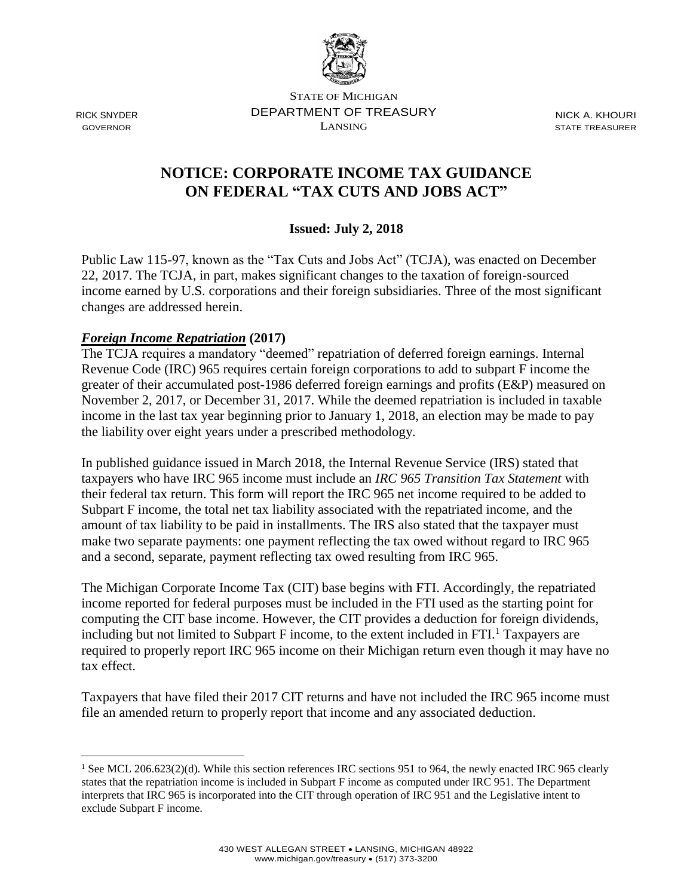

RICK SNYDER GOVERNOR

 $\overline{a}$ 

STATE OF MICHIGAN DEPARTMENT OF TREASURY LANSING

NICK A. KHOURI STATE TREASURER

# **NOTICE: CORPORATE INCOME TAX GUIDANCE ON FEDERAL "TAX CUTS AND JOBS ACT"**

### **Issued: July 2, 2018**

Public Law 115-97, known as the "Tax Cuts and Jobs Act" (TCJA), was enacted on December 22, 2017. The TCJA, in part, makes significant changes to the taxation of foreign-sourced income earned by U.S. corporations and their foreign subsidiaries. Three of the most significant changes are addressed herein.

#### *Foreign Income Repatriation* **(2017)**

The TCJA requires a mandatory "deemed" repatriation of deferred foreign earnings. Internal Revenue Code (IRC) 965 requires certain foreign corporations to add to subpart F income the greater of their accumulated post-1986 deferred foreign earnings and profits (E&P) measured on November 2, 2017, or December 31, 2017. While the deemed repatriation is included in taxable income in the last tax year beginning prior to January 1, 2018, an election may be made to pay the liability over eight years under a prescribed methodology.

In published guidance issued in March 2018, the Internal Revenue Service (IRS) stated that taxpayers who have IRC 965 income must include an *IRC 965 Transition Tax Statement* with their federal tax return. This form will report the IRC 965 net income required to be added to Subpart F income, the total net tax liability associated with the repatriated income, and the amount of tax liability to be paid in installments. The IRS also stated that the taxpayer must make two separate payments: one payment reflecting the tax owed without regard to IRC 965 and a second, separate, payment reflecting tax owed resulting from IRC 965.

The Michigan Corporate Income Tax (CIT) base begins with FTI. Accordingly, the repatriated income reported for federal purposes must be included in the FTI used as the starting point for computing the CIT base income. However, the CIT provides a deduction for foreign dividends, including but not limited to Subpart F income, to the extent included in  $FTI<sup>1</sup>$  Taxpayers are required to properly report IRC 965 income on their Michigan return even though it may have no tax effect.

Taxpayers that have filed their 2017 CIT returns and have not included the IRC 965 income must file an amended return to properly report that income and any associated deduction.

<sup>&</sup>lt;sup>1</sup> See MCL 206.623(2)(d). While this section references IRC sections 951 to 964, the newly enacted IRC 965 clearly states that the repatriation income is included in Subpart F income as computed under IRC 951. The Department interprets that IRC 965 is incorporated into the CIT through operation of IRC 951 and the Legislative intent to exclude Subpart F income.